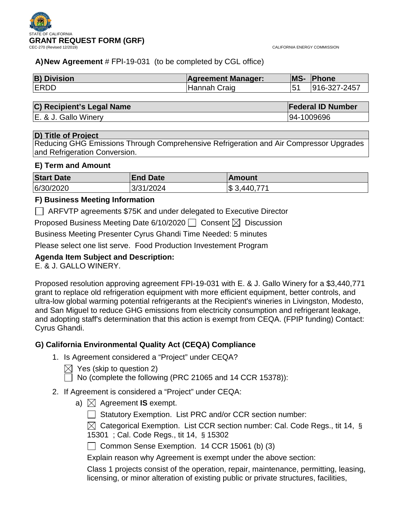



# **A)New Agreement** # FPI-19-031 (to be completed by CGL office)

| <b>B) Division</b> | <b>Agreement Manager:</b> | <b>MS-</b> | Phone        |  |
|--------------------|---------------------------|------------|--------------|--|
| <b>ERDD</b>        | Hannah Craig              |            | 916-327-2457 |  |

### **C) Recipient's Legal Name Federal ID Number**

E. & J. Gallo Winery 94-1009696

# **D) Title of Project**

Reducing GHG Emissions Through Comprehensive Refrigeration and Air Compressor Upgrades and Refrigeration Conversion.

# **E) Term and Amount**

| <b>Start Date</b> | <b>End Date</b> | ∣Amount      |
|-------------------|-----------------|--------------|
| 6/30/2020         | 3/31/2024       | \$ 3,440,771 |

# **F) Business Meeting Information**

ARFVTP agreements \$75K and under delegated to Executive Director

Proposed Business Meeting Date 6/10/2020  $\Box$  Consent  $\boxtimes$  Discussion

Business Meeting Presenter Cyrus Ghandi Time Needed: 5 minutes

Please select one list serve. Food Production Investement Program

# **Agenda Item Subject and Description:**

E. & J. GALLO WINERY.

Proposed resolution approving agreement FPI-19-031 with E. & J. Gallo Winery for a \$3,440,771 grant to replace old refrigeration equipment with more efficient equipment, better controls, and ultra-low global warming potential refrigerants at the Recipient's wineries in Livingston, Modesto, and San Miguel to reduce GHG emissions from electricity consumption and refrigerant leakage, and adopting staff's determination that this action is exempt from CEQA. (FPIP funding) Contact: Cyrus Ghandi.

# **G) California Environmental Quality Act (CEQA) Compliance**

- 1. Is Agreement considered a "Project" under CEQA?
	- $\boxtimes$  Yes (skip to question 2)

 $\Box$  No (complete the following (PRC 21065 and 14 CCR 15378)):

- 2. If Agreement is considered a "Project" under CEQA:
	- a)  $\boxtimes$  Agreement **IS** exempt.
		- $\Box$  Statutory Exemption. List PRC and/or CCR section number:

 $\boxtimes$  Categorical Exemption. List CCR section number: Cal. Code Regs., tit 14, § 15301 ; Cal. Code Regs., tit 14, § 15302

 $\Box$  Common Sense Exemption. 14 CCR 15061 (b) (3)

Explain reason why Agreement is exempt under the above section:

Class 1 projects consist of the operation, repair, maintenance, permitting, leasing, licensing, or minor alteration of existing public or private structures, facilities,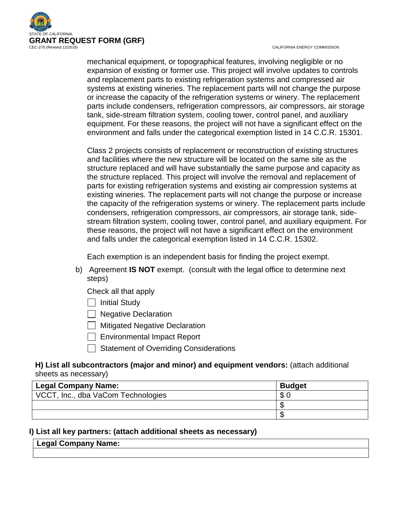

CALIFORNIA ENERGY COMMISSION

mechanical equipment, or topographical features, involving negligible or no expansion of existing or former use. This project will involve updates to controls and replacement parts to existing refrigeration systems and compressed air systems at existing wineries. The replacement parts will not change the purpose or increase the capacity of the refrigeration systems or winery. The replacement parts include condensers, refrigeration compressors, air compressors, air storage tank, side-stream filtration system, cooling tower, control panel, and auxiliary equipment. For these reasons, the project will not have a significant effect on the environment and falls under the categorical exemption listed in 14 C.C.R. 15301.

Class 2 projects consists of replacement or reconstruction of existing structures and facilities where the new structure will be located on the same site as the structure replaced and will have substantially the same purpose and capacity as the structure replaced. This project will involve the removal and replacement of parts for existing refrigeration systems and existing air compression systems at existing wineries. The replacement parts will not change the purpose or increase the capacity of the refrigeration systems or winery. The replacement parts include condensers, refrigeration compressors, air compressors, air storage tank, sidestream filtration system, cooling tower, control panel, and auxiliary equipment. For these reasons, the project will not have a significant effect on the environment and falls under the categorical exemption listed in 14 C.C.R. 15302.

Each exemption is an independent basis for finding the project exempt.

- b) Agreement **IS NOT** exempt. (consult with the legal office to determine next steps)
	- Check all that apply
	- $\Box$  Initial Study
	- **Negative Declaration**
	- $\Box$  Mitigated Negative Declaration
	- Environmental Impact Report
	- Statement of Overriding Considerations

### **H) List all subcontractors (major and minor) and equipment vendors:** (attach additional sheets as necessary)

| <b>Legal Company Name:</b>         | <b>Budget</b> |
|------------------------------------|---------------|
| VCCT, Inc., dba VaCom Technologies |               |
|                                    |               |
|                                    |               |

### **I) List all key partners: (attach additional sheets as necessary)**

| Legal Company<br>\ame: |  |
|------------------------|--|
|                        |  |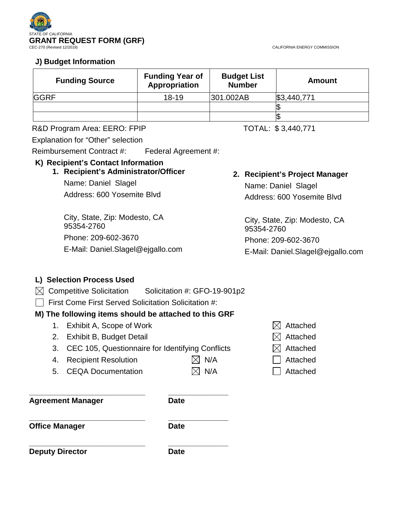

CALIFORNIA ENERGY COMMISSION

# **J) Budget Information**

| <b>Funding Source</b> | <b>Funding Year of</b><br>Appropriation | <b>Budget List</b><br><b>Number</b> | <b>Amount</b> |
|-----------------------|-----------------------------------------|-------------------------------------|---------------|
| <b>GGRF</b>           | $18 - 19$                               | 301.002AB                           | \$3,440,771   |
|                       |                                         |                                     |               |
|                       |                                         |                                     |               |

### R&D Program Area: EERO: FPIP TOTAL: \$3,440,771

Explanation for "Other" selection

Reimbursement Contract #: Federal Agreement #:

### **K) Recipient's Contact Information**

# **1. Recipient's Administrator/Officer**

Name: Daniel Slagel Address: 600 Yosemite Blvd

City, State, Zip: Modesto, CA 95354-2760 Phone: 209-602-3670 E-Mail: Daniel.Slagel@ejgallo.com

# **2. Recipient's Project Manager**

Name: Daniel Slagel Address: 600 Yosemite Blvd

City, State, Zip: Modesto, CA 95354-2760 Phone: 209-602-3670 E-Mail: Daniel.Slagel@ejgallo.com

# **L) Selection Process Used**

- $\boxtimes$  Competitive Solicitation Solicitation #: GFO-19-901p2
- $\Box$  First Come First Served Solicitation Solicitation #:

# **M) The following items should be attached to this GRF**

- 1. Exhibit A, Scope of Work  $\boxtimes$  Attached
- 2. Exhibit B, Budget Detail  $\boxtimes$  Attached
- 3. CEC 105, Questionnaire for Identifying Conflicts  $\boxtimes$  Attached
- 4. Recipient Resolution  $\boxtimes$  N/A  $\Box$  Attached

**\_\_\_\_\_\_\_\_\_\_\_\_\_\_\_\_\_\_\_\_\_\_\_\_\_\_\_ \_\_\_\_\_\_\_\_\_\_\_\_\_\_**

5. CEQA Documentation  $\boxtimes$  N/A  $\Box$  Attached

**Agreement Manager** 

**\_\_\_\_\_\_\_\_\_\_\_\_\_\_\_\_\_\_\_\_\_\_\_\_\_\_\_ \_\_\_\_\_\_\_\_\_\_\_\_\_\_ Office Manager Date** 

**\_\_\_\_\_\_\_\_\_\_\_\_\_\_\_\_\_\_\_\_\_\_\_\_\_\_\_ \_\_\_\_\_\_\_\_\_\_\_\_\_\_ Deputy Director Date** 

- 
- 
- 
- 
-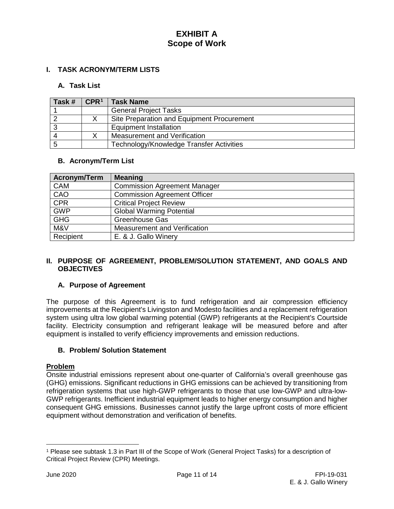### **I. TASK ACRONYM/TERM LISTS**

### **A. Task List**

| Task # | $\mathsf{CPR}^1$ | <b>Task Name</b>                           |
|--------|------------------|--------------------------------------------|
|        |                  | <b>General Project Tasks</b>               |
|        |                  | Site Preparation and Equipment Procurement |
| -3     |                  | <b>Equipment Installation</b>              |
| Δ      |                  | Measurement and Verification               |
| -5     |                  | Technology/Knowledge Transfer Activities   |

#### **B. Acronym/Term List**

| <b>Acronym/Term</b> | <b>Meaning</b>                      |
|---------------------|-------------------------------------|
| <b>CAM</b>          | <b>Commission Agreement Manager</b> |
| CAO                 | <b>Commission Agreement Officer</b> |
| <b>CPR</b>          | <b>Critical Project Review</b>      |
| <b>GWP</b>          | <b>Global Warming Potential</b>     |
| <b>GHG</b>          | Greenhouse Gas                      |
| M&V                 | Measurement and Verification        |
| Recipient           | E. & J. Gallo Winery                |

#### **II. PURPOSE OF AGREEMENT, PROBLEM/SOLUTION STATEMENT, AND GOALS AND OBJECTIVES**

#### **A. Purpose of Agreement**

The purpose of this Agreement is to fund refrigeration and air compression efficiency improvements at the Recipient's Livingston and Modesto facilities and a replacement refrigeration system using ultra low global warming potential (GWP) refrigerants at the Recipient's Courtside facility. Electricity consumption and refrigerant leakage will be measured before and after equipment is installed to verify efficiency improvements and emission reductions.

#### **B. Problem/ Solution Statement**

#### **Problem**

Onsite industrial emissions represent about one-quarter of California's overall greenhouse gas (GHG) emissions. Significant reductions in GHG emissions can be achieved by transitioning from refrigeration systems that use high-GWP refrigerants to those that use low-GWP and ultra-low-GWP refrigerants. Inefficient industrial equipment leads to higher energy consumption and higher consequent GHG emissions. Businesses cannot justify the large upfront costs of more efficient equipment without demonstration and verification of benefits.

 $\overline{a}$ 

<span id="page-3-0"></span><sup>1</sup> Please see subtask 1.3 in Part III of the Scope of Work (General Project Tasks) for a description of Critical Project Review (CPR) Meetings.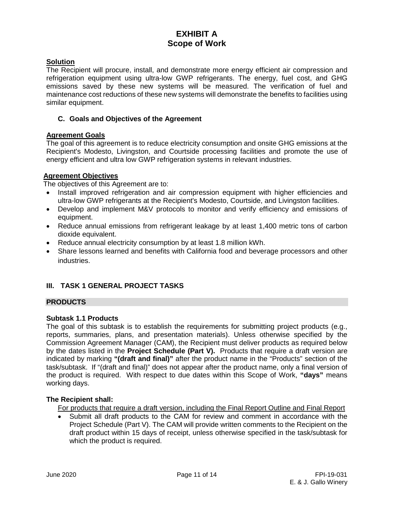### **Solution**

The Recipient will procure, install, and demonstrate more energy efficient air compression and refrigeration equipment using ultra-low GWP refrigerants. The energy, fuel cost, and GHG emissions saved by these new systems will be measured. The verification of fuel and maintenance cost reductions of these new systems will demonstrate the benefits to facilities using similar equipment.

#### **C. Goals and Objectives of the Agreement**

#### **Agreement Goals**

The goal of this agreement is to reduce electricity consumption and onsite GHG emissions at the Recipient's Modesto, Livingston, and Courtside processing facilities and promote the use of energy efficient and ultra low GWP refrigeration systems in relevant industries.

#### **Agreement Objectives**

The objectives of this Agreement are to:

- Install improved refrigeration and air compression equipment with higher efficiencies and ultra-low GWP refrigerants at the Recipient's Modesto, Courtside, and Livingston facilities.
- Develop and implement M&V protocols to monitor and verify efficiency and emissions of equipment.
- Reduce annual emissions from refrigerant leakage by at least 1,400 metric tons of carbon dioxide equivalent.
- Reduce annual electricity consumption by at least 1.8 million kWh.
- Share lessons learned and benefits with California food and beverage processors and other industries.

### **III. TASK 1 GENERAL PROJECT TASKS**

### **PRODUCTS**

#### **Subtask 1.1 Products**

The goal of this subtask is to establish the requirements for submitting project products (e.g., reports, summaries, plans, and presentation materials). Unless otherwise specified by the Commission Agreement Manager (CAM), the Recipient must deliver products as required below by the dates listed in the **Project Schedule (Part V).** Products that require a draft version are indicated by marking **"(draft and final)"** after the product name in the "Products" section of the task/subtask. If "(draft and final)" does not appear after the product name, only a final version of the product is required. With respect to due dates within this Scope of Work, **"days"** means working days.

### **The Recipient shall:**

For products that require a draft version, including the Final Report Outline and Final Report

• Submit all draft products to the CAM for review and comment in accordance with the Project Schedule (Part V). The CAM will provide written comments to the Recipient on the draft product within 15 days of receipt, unless otherwise specified in the task/subtask for which the product is required.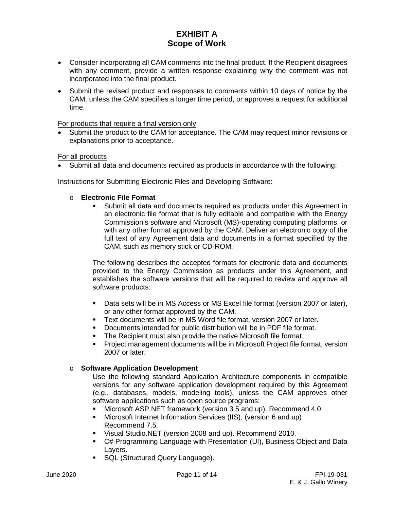- Consider incorporating all CAM comments into the final product. If the Recipient disagrees with any comment, provide a written response explaining why the comment was not incorporated into the final product.
- Submit the revised product and responses to comments within 10 days of notice by the CAM, unless the CAM specifies a longer time period, or approves a request for additional time.

#### For products that require a final version only

Submit the product to the CAM for acceptance. The CAM may request minor revisions or explanations prior to acceptance.

For all products

• Submit all data and documents required as products in accordance with the following:

#### Instructions for Submitting Electronic Files and Developing Software:

# **C Electronic File Format**

 Submit all data and documents required as products under this Agreement in an electronic file format that is fully editable and compatible with the Energy Commission's software and Microsoft (MS)-operating computing platforms, or with any other format approved by the CAM. Deliver an electronic copy of the full text of any Agreement data and documents in a format specified by the CAM, such as memory stick or CD-ROM.

The following describes the accepted formats for electronic data and documents provided to the Energy Commission as products under this Agreement, and establishes the software versions that will be required to review and approve all software products:

- Data sets will be in MS Access or MS Excel file format (version 2007 or later), or any other format approved by the CAM.
- Text documents will be in MS Word file format, version 2007 or later.
- Documents intended for public distribution will be in PDF file format.
- **The Recipient must also provide the native Microsoft file format.**
- Project management documents will be in Microsoft Project file format, version 2007 or later.

#### o **Software Application Development**

Use the following standard Application Architecture components in compatible versions for any software application development required by this Agreement (e.g., databases, models, modeling tools), unless the CAM approves other software applications such as open source programs:

- Microsoft ASP.NET framework (version 3.5 and up). Recommend 4.0.
- Microsoft Internet Information Services (IIS), (version 6 and up) Recommend 7.5.
- Visual Studio.NET (version 2008 and up). Recommend 2010.
- C# Programming Language with Presentation (UI), Business Object and Data Layers.
- **SQL (Structured Query Language).**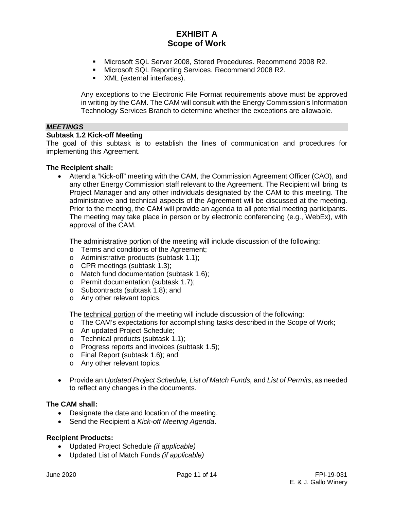- Microsoft SQL Server 2008, Stored Procedures. Recommend 2008 R2.
- Microsoft SQL Reporting Services. Recommend 2008 R2.
- **XML** (external interfaces).

Any exceptions to the Electronic File Format requirements above must be approved in writing by the CAM. The CAM will consult with the Energy Commission's Information Technology Services Branch to determine whether the exceptions are allowable.

### *MEETINGS*

#### **Subtask 1.2 Kick-off Meeting**

The goal of this subtask is to establish the lines of communication and procedures for implementing this Agreement.

#### **The Recipient shall:**

• Attend a "Kick-off" meeting with the CAM, the Commission Agreement Officer (CAO), and any other Energy Commission staff relevant to the Agreement. The Recipient will bring its Project Manager and any other individuals designated by the CAM to this meeting. The administrative and technical aspects of the Agreement will be discussed at the meeting. Prior to the meeting, the CAM will provide an agenda to all potential meeting participants. The meeting may take place in person or by electronic conferencing (e.g., WebEx), with approval of the CAM.

The administrative portion of the meeting will include discussion of the following:

- o Terms and conditions of the Agreement;
- o Administrative products (subtask 1.1);
- o CPR meetings (subtask 1.3);
- o Match fund documentation (subtask 1.6);
- o Permit documentation (subtask 1.7);
- o Subcontracts (subtask 1.8); and
- o Any other relevant topics.

The technical portion of the meeting will include discussion of the following:

- o The CAM's expectations for accomplishing tasks described in the Scope of Work;
- o An updated Project Schedule;
- o Technical products (subtask 1.1);
- o Progress reports and invoices (subtask 1.5);
- o Final Report (subtask 1.6); and
- o Any other relevant topics.
- Provide an *Updated Project Schedule, List of Match Funds,* and *List of Permits*, as needed to reflect any changes in the documents.

#### **The CAM shall:**

- Designate the date and location of the meeting.
- Send the Recipient a *Kick-off Meeting Agenda*.

#### **Recipient Products:**

- Updated Project Schedule *(if applicable)*
- Updated List of Match Funds *(if applicable)*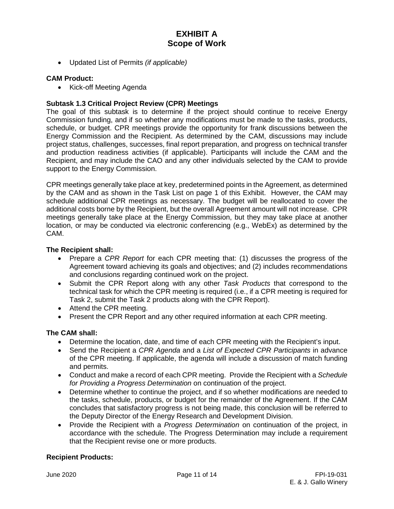• Updated List of Permits *(if applicable)*

#### **CAM Product:**

• Kick-off Meeting Agenda

### **Subtask 1.3 Critical Project Review (CPR) Meetings**

The goal of this subtask is to determine if the project should continue to receive Energy Commission funding, and if so whether any modifications must be made to the tasks, products, schedule, or budget. CPR meetings provide the opportunity for frank discussions between the Energy Commission and the Recipient. As determined by the CAM, discussions may include project status, challenges, successes, final report preparation, and progress on technical transfer and production readiness activities (if applicable). Participants will include the CAM and the Recipient, and may include the CAO and any other individuals selected by the CAM to provide support to the Energy Commission.

CPR meetings generally take place at key, predetermined points in the Agreement, as determined by the CAM and as shown in the Task List on page 1 of this Exhibit. However, the CAM may schedule additional CPR meetings as necessary. The budget will be reallocated to cover the additional costs borne by the Recipient, but the overall Agreement amount will not increase. CPR meetings generally take place at the Energy Commission, but they may take place at another location, or may be conducted via electronic conferencing (e.g., WebEx) as determined by the CAM.

#### **The Recipient shall:**

- Prepare a *CPR Report* for each CPR meeting that: (1) discusses the progress of the Agreement toward achieving its goals and objectives; and (2) includes recommendations and conclusions regarding continued work on the project.
- Submit the CPR Report along with any other *Task Products* that correspond to the technical task for which the CPR meeting is required (i.e., if a CPR meeting is required for Task 2, submit the Task 2 products along with the CPR Report).
- Attend the CPR meeting.
- Present the CPR Report and any other required information at each CPR meeting.

#### **The CAM shall:**

- Determine the location, date, and time of each CPR meeting with the Recipient's input.
- Send the Recipient a *CPR Agenda* and a *List of Expected CPR Participants* in advance of the CPR meeting. If applicable, the agenda will include a discussion of match funding and permits.
- Conduct and make a record of each CPR meeting. Provide the Recipient with a *Schedule for Providing a Progress Determination* on continuation of the project.
- Determine whether to continue the project, and if so whether modifications are needed to the tasks, schedule, products, or budget for the remainder of the Agreement. If the CAM concludes that satisfactory progress is not being made, this conclusion will be referred to the Deputy Director of the Energy Research and Development Division.
- Provide the Recipient with a *Progress Determination* on continuation of the project, in accordance with the schedule. The Progress Determination may include a requirement that the Recipient revise one or more products.

#### **Recipient Products:**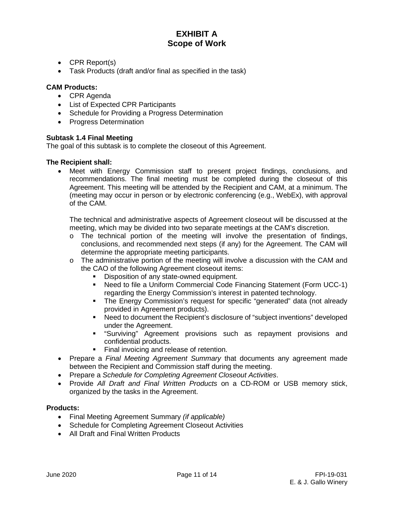- CPR Report(s)
- Task Products (draft and/or final as specified in the task)

### **CAM Products:**

- CPR Agenda
- List of Expected CPR Participants
- Schedule for Providing a Progress Determination
- Progress Determination

#### **Subtask 1.4 Final Meeting**

The goal of this subtask is to complete the closeout of this Agreement.

#### **The Recipient shall:**

• Meet with Energy Commission staff to present project findings, conclusions, and recommendations. The final meeting must be completed during the closeout of this Agreement. This meeting will be attended by the Recipient and CAM, at a minimum. The (meeting may occur in person or by electronic conferencing (e.g., WebEx), with approval of the CAM.

The technical and administrative aspects of Agreement closeout will be discussed at the meeting, which may be divided into two separate meetings at the CAM's discretion.

- $\circ$  The technical portion of the meeting will involve the presentation of findings, conclusions, and recommended next steps (if any) for the Agreement. The CAM will determine the appropriate meeting participants.
- $\circ$  The administrative portion of the meeting will involve a discussion with the CAM and the CAO of the following Agreement closeout items:
	- Disposition of any state-owned equipment.
	- Need to file a Uniform Commercial Code Financing Statement (Form UCC-1) regarding the Energy Commission's interest in patented technology.
	- The Energy Commission's request for specific "generated" data (not already provided in Agreement products).
	- Need to document the Recipient's disclosure of "subject inventions" developed under the Agreement.
	- "Surviving" Agreement provisions such as repayment provisions and confidential products.
	- Final invoicing and release of retention.
- Prepare a *Final Meeting Agreement Summary* that documents any agreement made between the Recipient and Commission staff during the meeting.
- Prepare a *Schedule for Completing Agreement Closeout Activities*.
- Provide *All Draft and Final Written Products* on a CD-ROM or USB memory stick, organized by the tasks in the Agreement.

#### **Products:**

- Final Meeting Agreement Summary *(if applicable)*
- Schedule for Completing Agreement Closeout Activities
- All Draft and Final Written Products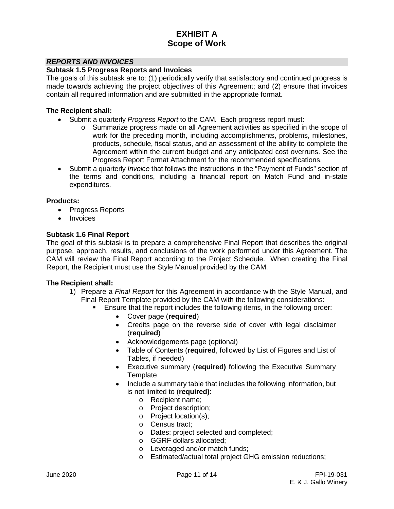#### *REPORTS AND INVOICES*

#### **Subtask 1.5 Progress Reports and Invoices**

The goals of this subtask are to: (1) periodically verify that satisfactory and continued progress is made towards achieving the project objectives of this Agreement; and (2) ensure that invoices contain all required information and are submitted in the appropriate format.

#### **The Recipient shall:**

- Submit a quarterly *Progress Report* to the CAM. Each progress report must:
	- o Summarize progress made on all Agreement activities as specified in the scope of work for the preceding month, including accomplishments, problems, milestones, products, schedule, fiscal status, and an assessment of the ability to complete the Agreement within the current budget and any anticipated cost overruns. See the Progress Report Format Attachment for the recommended specifications.
- Submit a quarterly *Invoice* that follows the instructions in the "Payment of Funds" section of the terms and conditions, including a financial report on Match Fund and in-state expenditures.

#### **Products:**

- Progress Reports
- **Invoices**

#### **Subtask 1.6 Final Report**

The goal of this subtask is to prepare a comprehensive Final Report that describes the original purpose, approach, results, and conclusions of the work performed under this Agreement. The CAM will review the Final Report according to the Project Schedule. When creating the Final Report, the Recipient must use the Style Manual provided by the CAM.

- 1) Prepare a *Final Report* for this Agreement in accordance with the Style Manual, and Final Report Template provided by the CAM with the following considerations:
	- Ensure that the report includes the following items, in the following order:
		- Cover page (**required**)
		- Credits page on the reverse side of cover with legal disclaimer (**required**)
		- Acknowledgements page (optional)
		- Table of Contents (**required**, followed by List of Figures and List of Tables, if needed)
		- Executive summary (**required)** following the Executive Summary **Template**
		- Include a summary table that includes the following information, but is not limited to (**required)**:
			- o Recipient name;
			- o Project description;
			- o Project location(s);
			- o Census tract;
			- o Dates: project selected and completed;
			- o GGRF dollars allocated;
			- o Leveraged and/or match funds;
			- o Estimated/actual total project GHG emission reductions;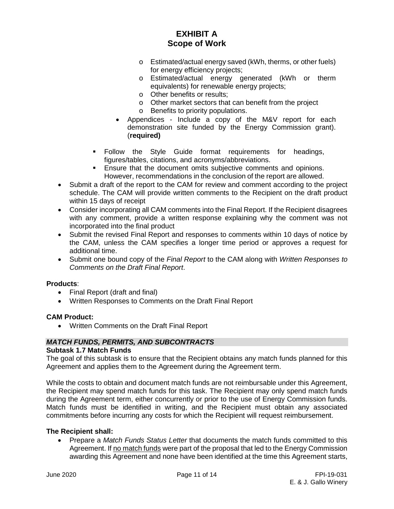- o Estimated/actual energy saved (kWh, therms, or other fuels) for energy efficiency projects;
- o Estimated/actual energy generated (kWh or therm equivalents) for renewable energy projects;
- o Other benefits or results;
- o Other market sectors that can benefit from the project
- o Benefits to priority populations.
- Appendices Include a copy of the M&V report for each demonstration site funded by the Energy Commission grant). (**required)**
- Follow the Style Guide format requirements for headings, figures/tables, citations, and acronyms/abbreviations.
- **Ensure that the document omits subjective comments and opinions.** However, recommendations in the conclusion of the report are allowed.
- Submit a draft of the report to the CAM for review and comment according to the project schedule. The CAM will provide written comments to the Recipient on the draft product within 15 days of receipt
- Consider incorporating all CAM comments into the Final Report. If the Recipient disagrees with any comment, provide a written response explaining why the comment was not incorporated into the final product
- Submit the revised Final Report and responses to comments within 10 days of notice by the CAM, unless the CAM specifies a longer time period or approves a request for additional time.
- Submit one bound copy of the *Final Report* to the CAM along with *Written Responses to Comments on the Draft Final Report*.

#### **Products**:

- Final Report (draft and final)
- Written Responses to Comments on the Draft Final Report

#### **CAM Product:**

• Written Comments on the Draft Final Report

#### *MATCH FUNDS, PERMITS, AND SUBCONTRACTS*

#### **Subtask 1.7 Match Funds**

The goal of this subtask is to ensure that the Recipient obtains any match funds planned for this Agreement and applies them to the Agreement during the Agreement term.

While the costs to obtain and document match funds are not reimbursable under this Agreement, the Recipient may spend match funds for this task. The Recipient may only spend match funds during the Agreement term, either concurrently or prior to the use of Energy Commission funds. Match funds must be identified in writing, and the Recipient must obtain any associated commitments before incurring any costs for which the Recipient will request reimbursement.

#### **The Recipient shall:**

• Prepare a *Match Funds Status Letter* that documents the match funds committed to this Agreement. If no match funds were part of the proposal that led to the Energy Commission awarding this Agreement and none have been identified at the time this Agreement starts,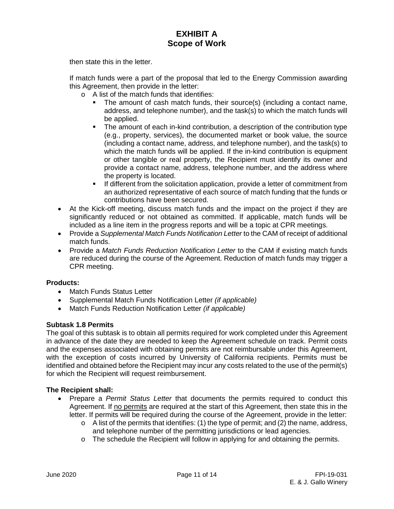then state this in the letter.

If match funds were a part of the proposal that led to the Energy Commission awarding this Agreement, then provide in the letter:

- o A list of the match funds that identifies:
	- The amount of cash match funds, their source(s) (including a contact name, address, and telephone number), and the task(s) to which the match funds will be applied.
	- The amount of each in-kind contribution, a description of the contribution type (e.g., property, services), the documented market or book value, the source (including a contact name, address, and telephone number), and the task(s) to which the match funds will be applied. If the in-kind contribution is equipment or other tangible or real property, the Recipient must identify its owner and provide a contact name, address, telephone number, and the address where the property is located.
	- **If different from the solicitation application, provide a letter of commitment from** an authorized representative of each source of match funding that the funds or contributions have been secured.
- At the Kick-off meeting, discuss match funds and the impact on the project if they are significantly reduced or not obtained as committed. If applicable, match funds will be included as a line item in the progress reports and will be a topic at CPR meetings.
- Provide a *Supplemental Match Funds Notification Letter* to the CAM of receipt of additional match funds.
- Provide a *Match Funds Reduction Notification Letter* to the CAM if existing match funds are reduced during the course of the Agreement. Reduction of match funds may trigger a CPR meeting.

### **Products:**

- Match Funds Status Letter
- Supplemental Match Funds Notification Letter *(if applicable)*
- Match Funds Reduction Notification Letter *(if applicable)*

### **Subtask 1.8 Permits**

The goal of this subtask is to obtain all permits required for work completed under this Agreement in advance of the date they are needed to keep the Agreement schedule on track. Permit costs and the expenses associated with obtaining permits are not reimbursable under this Agreement, with the exception of costs incurred by University of California recipients. Permits must be identified and obtained before the Recipient may incur any costs related to the use of the permit(s) for which the Recipient will request reimbursement.

- Prepare a *Permit Status Letter* that documents the permits required to conduct this Agreement. If no permits are required at the start of this Agreement, then state this in the letter. If permits will be required during the course of the Agreement, provide in the letter:
	- $\circ$  A list of the permits that identifies: (1) the type of permit; and (2) the name, address, and telephone number of the permitting jurisdictions or lead agencies.
	- o The schedule the Recipient will follow in applying for and obtaining the permits.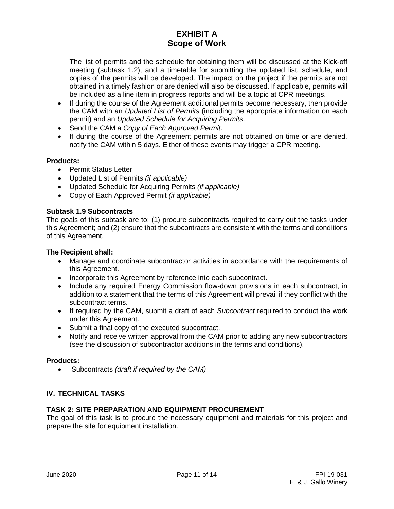The list of permits and the schedule for obtaining them will be discussed at the Kick-off meeting (subtask 1.2), and a timetable for submitting the updated list, schedule, and copies of the permits will be developed. The impact on the project if the permits are not obtained in a timely fashion or are denied will also be discussed. If applicable, permits will be included as a line item in progress reports and will be a topic at CPR meetings.

- If during the course of the Agreement additional permits become necessary, then provide the CAM with an *Updated List of Permits* (including the appropriate information on each permit) and an *Updated Schedule for Acquiring Permits*.
- Send the CAM a *Copy of Each Approved Permit*.
- If during the course of the Agreement permits are not obtained on time or are denied, notify the CAM within 5 days. Either of these events may trigger a CPR meeting.

#### **Products:**

- Permit Status Letter
- Updated List of Permits *(if applicable)*
- Updated Schedule for Acquiring Permits *(if applicable)*
- Copy of Each Approved Permit *(if applicable)*

#### **Subtask 1.9 Subcontracts**

The goals of this subtask are to: (1) procure subcontracts required to carry out the tasks under this Agreement; and (2) ensure that the subcontracts are consistent with the terms and conditions of this Agreement.

#### **The Recipient shall:**

- Manage and coordinate subcontractor activities in accordance with the requirements of this Agreement.
- Incorporate this Agreement by reference into each subcontract.
- Include any required Energy Commission flow-down provisions in each subcontract, in addition to a statement that the terms of this Agreement will prevail if they conflict with the subcontract terms.
- If required by the CAM, submit a draft of each *Subcontract* required to conduct the work under this Agreement.
- Submit a final copy of the executed subcontract.
- Notify and receive written approval from the CAM prior to adding any new subcontractors (see the discussion of subcontractor additions in the terms and conditions).

#### **Products:**

• Subcontracts *(draft if required by the CAM)*

#### **IV. TECHNICAL TASKS**

#### **TASK 2: SITE PREPARATION AND EQUIPMENT PROCUREMENT**

The goal of this task is to procure the necessary equipment and materials for this project and prepare the site for equipment installation.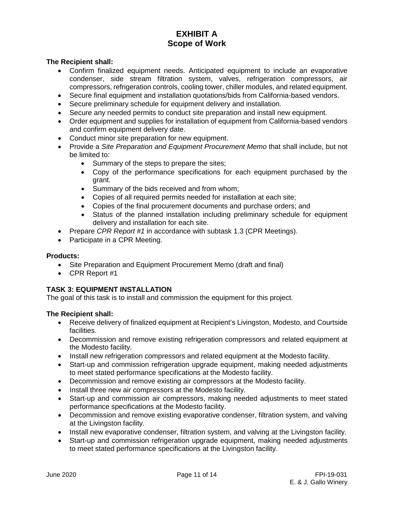#### **The Recipient shall:**

- Confirm finalized equipment needs. Anticipated equipment to include an evaporative condenser, side stream filtration system, valves, refrigeration compressors, air compressors, refrigeration controls, cooling tower, chiller modules, and related equipment.
- Secure final equipment and installation quotations/bids from California-based vendors.
- Secure preliminary schedule for equipment delivery and installation.
- Secure any needed permits to conduct site preparation and install new equipment.
- Order equipment and supplies for installation of equipment from California-based vendors and confirm equipment delivery date.
- Conduct minor site preparation for new equipment.
- Provide a *Site Preparation and Equipment Procurement Memo* that shall include, but not be limited to:
	- Summary of the steps to prepare the sites;
	- Copy of the performance specifications for each equipment purchased by the grant.
	- Summary of the bids received and from whom;
	- Copies of all required permits needed for installation at each site;
	- Copies of the final procurement documents and purchase orders; and
	- Status of the planned installation including preliminary schedule for equipment delivery and installation for each site.
- Prepare *CPR Report #1* in accordance with subtask 1.3 (CPR Meetings).
- Participate in a CPR Meeting.

#### **Products:**

- Site Preparation and Equipment Procurement Memo (draft and final)
- CPR Report #1

### **TASK 3: EQUIPMENT INSTALLATION**

The goal of this task is to install and commission the equipment for this project.

- Receive delivery of finalized equipment at Recipient's Livingston, Modesto, and Courtside facilities.
- Decommission and remove existing refrigeration compressors and related equipment at the Modesto facility.
- Install new refrigeration compressors and related equipment at the Modesto facility.
- Start-up and commission refrigeration upgrade equipment, making needed adjustments to meet stated performance specifications at the Modesto facility.
- Decommission and remove existing air compressors at the Modesto facility.
- Install three new air compressors at the Modesto facility.
- Start-up and commission air compressors, making needed adjustments to meet stated performance specifications at the Modesto facility.
- Decommission and remove existing evaporative condenser, filtration system, and valving at the Livingston facility.
- Install new evaporative condenser, filtration system, and valving at the Livingston facility.
- Start-up and commission refrigeration upgrade equipment, making needed adjustments to meet stated performance specifications at the Livingston facility.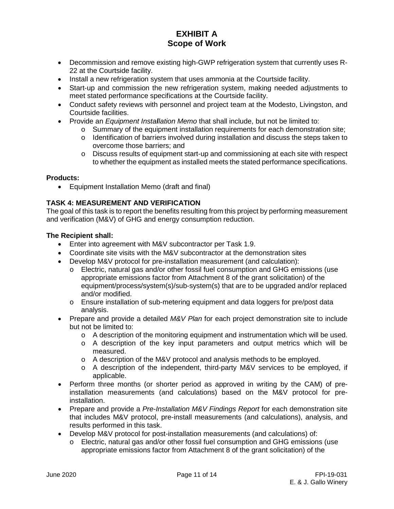- Decommission and remove existing high-GWP refrigeration system that currently uses R-22 at the Courtside facility.
- Install a new refrigeration system that uses ammonia at the Courtside facility.
- Start-up and commission the new refrigeration system, making needed adjustments to meet stated performance specifications at the Courtside facility.
- Conduct safety reviews with personnel and project team at the Modesto, Livingston, and Courtside facilities.
- Provide an *Equipment Installation Memo* that shall include, but not be limited to:
	- $\circ$  Summary of the equipment installation requirements for each demonstration site;
	- o Identification of barriers involved during installation and discuss the steps taken to overcome those barriers; and
	- $\circ$  Discuss results of equipment start-up and commissioning at each site with respect to whether the equipment as installed meets the stated performance specifications.

#### **Products:**

• Equipment Installation Memo (draft and final)

### **TASK 4: MEASUREMENT AND VERIFICATION**

The goal of this task is to report the benefits resulting from this project by performing measurement and verification (M&V) of GHG and energy consumption reduction.

- Enter into agreement with M&V subcontractor per Task 1.9.
- Coordinate site visits with the M&V subcontractor at the demonstration sites
- Develop M&V protocol for pre-installation measurement (and calculation):
	- o Electric, natural gas and/or other fossil fuel consumption and GHG emissions (use appropriate emissions factor from Attachment 8 of the grant solicitation) of the equipment/process/system(s)/sub-system(s) that are to be upgraded and/or replaced and/or modified.
	- o Ensure installation of sub-metering equipment and data loggers for pre/post data analysis.
- Prepare and provide a detailed *M&V Plan* for each project demonstration site to include but not be limited to:
	- $\circ$  A description of the monitoring equipment and instrumentation which will be used.
	- o A description of the key input parameters and output metrics which will be measured.
	- o A description of the M&V protocol and analysis methods to be employed.
	- o A description of the independent, third-party M&V services to be employed, if applicable.
- Perform three months (or shorter period as approved in writing by the CAM) of preinstallation measurements (and calculations) based on the M&V protocol for preinstallation.
- Prepare and provide a *Pre-Installation M&V Findings Report* for each demonstration site that includes M&V protocol, pre-install measurements (and calculations), analysis, and results performed in this task.
- Develop M&V protocol for post-installation measurements (and calculations) of:
	- o Electric, natural gas and/or other fossil fuel consumption and GHG emissions (use appropriate emissions factor from Attachment 8 of the grant solicitation) of the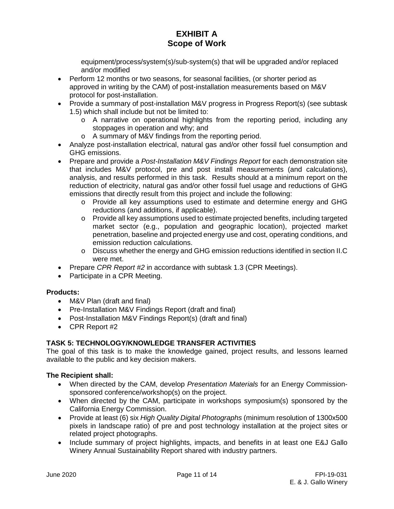equipment/process/system(s)/sub-system(s) that will be upgraded and/or replaced and/or modified

- Perform 12 months or two seasons, for seasonal facilities, (or shorter period as approved in writing by the CAM) of post-installation measurements based on M&V protocol for post-installation.
- Provide a summary of post-installation M&V progress in Progress Report(s) (see subtask 1.5) which shall include but not be limited to:
	- o A narrative on operational highlights from the reporting period, including any stoppages in operation and why; and
	- o A summary of M&V findings from the reporting period.
- Analyze post-installation electrical, natural gas and/or other fossil fuel consumption and GHG emissions.
- Prepare and provide a *Post-Installation M&V Findings Report* for each demonstration site that includes M&V protocol, pre and post install measurements (and calculations), analysis, and results performed in this task. Results should at a minimum report on the reduction of electricity, natural gas and/or other fossil fuel usage and reductions of GHG emissions that directly result from this project and include the following:
	- o Provide all key assumptions used to estimate and determine energy and GHG reductions (and additions, if applicable).
	- o Provide all key assumptions used to estimate projected benefits, including targeted market sector (e.g., population and geographic location), projected market penetration, baseline and projected energy use and cost, operating conditions, and emission reduction calculations.
	- o Discuss whether the energy and GHG emission reductions identified in section II.C were met.
- Prepare *CPR Report #2* in accordance with subtask 1.3 (CPR Meetings).
- Participate in a CPR Meeting.

### **Products:**

- M&V Plan (draft and final)
- Pre-Installation M&V Findings Report (draft and final)
- Post-Installation M&V Findings Report(s) (draft and final)
- CPR Report #2

### **TASK 5: TECHNOLOGY/KNOWLEDGE TRANSFER ACTIVITIES**

The goal of this task is to make the knowledge gained, project results, and lessons learned available to the public and key decision makers.

- When directed by the CAM, develop *Presentation Materials* for an Energy Commissionsponsored conference/workshop(s) on the project.
- When directed by the CAM, participate in workshops symposium(s) sponsored by the California Energy Commission.
- Provide at least (6) six *High Quality Digital Photographs* (minimum resolution of 1300x500 pixels in landscape ratio) of pre and post technology installation at the project sites or related project photographs.
- Include summary of project highlights, impacts, and benefits in at least one E&J Gallo Winery Annual Sustainability Report shared with industry partners.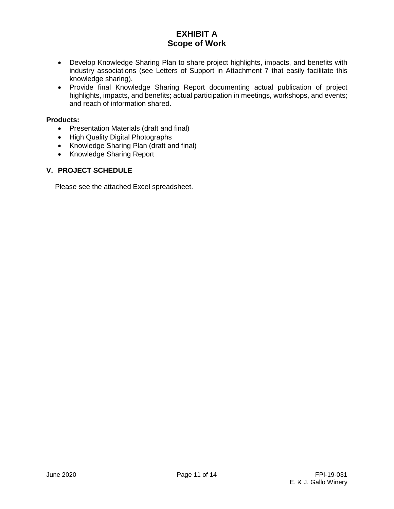- Develop Knowledge Sharing Plan to share project highlights, impacts, and benefits with industry associations (see Letters of Support in Attachment 7 that easily facilitate this knowledge sharing).
- Provide final Knowledge Sharing Report documenting actual publication of project highlights, impacts, and benefits; actual participation in meetings, workshops, and events; and reach of information shared.

#### **Products:**

- Presentation Materials (draft and final)
- High Quality Digital Photographs
- Knowledge Sharing Plan (draft and final)
- Knowledge Sharing Report

### **V. PROJECT SCHEDULE**

Please see the attached Excel spreadsheet.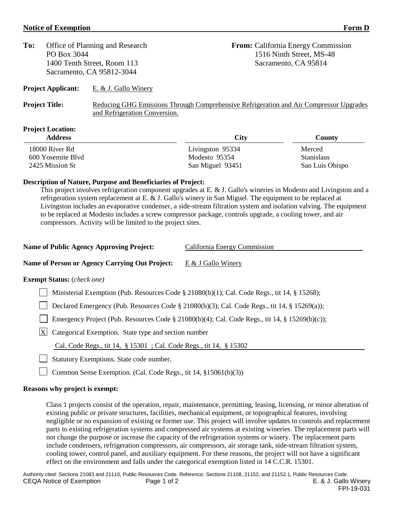#### **Notice of Exemption Form D**

| To:<br>Office of Planning and Research<br>PO Box 3044    |                               | <b>From:</b> California Energy Commission<br>1516 Ninth Street, MS-48 |                                                                                        |  |  |
|----------------------------------------------------------|-------------------------------|-----------------------------------------------------------------------|----------------------------------------------------------------------------------------|--|--|
| 1400 Tenth Street, Room 113<br>Sacramento, CA 95812-3044 |                               |                                                                       | Sacramento, CA 95814                                                                   |  |  |
| <b>Project Applicant:</b>                                | E. $&$ J. Gallo Winery        |                                                                       |                                                                                        |  |  |
| <b>Project Title:</b>                                    | and Refrigeration Conversion. |                                                                       | Reducing GHG Emissions Through Comprehensive Refrigeration and Air Compressor Upgrades |  |  |
| <b>Project Location:</b><br><b>Address</b>               |                               | <b>City</b>                                                           | County                                                                                 |  |  |
| 18000 River Rd                                           |                               | Livingston 95334                                                      | Merced                                                                                 |  |  |

#### **Description of Nature, Purpose and Beneficiaries of Project:**

This project involves refrigeration component upgrades at E. & J. Gallo's wineries in Modesto and Livingston and a refrigeration system replacement at E. & J. Gallo's winery in San Miguel. The equipment to be replaced at Livingston includes an evaporative condenser, a side-stream filtration system and isolation valving. The equipment to be replaced at Modesto includes a screw compressor package, controls upgrade, a cooling tower, and air compressors. Activity will be limited to the project sites.

| <b>Name of Public Agency Approving Project:</b><br>California Energy Commission |
|---------------------------------------------------------------------------------|
|---------------------------------------------------------------------------------|

#### **Name of Person or Agency Carrying Out Project:** E & J Gallo Winery

#### **Exempt Status:** (*check one)*

Ministerial Exemption (Pub. Resources Code § 21080(b)(1); Cal. Code Regs., tit 14, § 15268);

600 Yosemite Blvd Modesto 95354 Stanislaus 2425 Mission St San Miguel 93451 San Luis Obispo

□ Declared Emergency (Pub. Resources Code § 21080(b)(3); Cal. Code Regs., tit 14, § 15269(a));

Emergency Project (Pub. Resources Code § 21080(b)(4); Cal. Code Regs., tit 14, § 15269(b)(c));

 $X$  Categorical Exemption. State type and section number

Cal. Code Regs., tit 14, § 15301 ; Cal. Code Regs., tit 14, § 15302

Statutory Exemptions. State code number.

Common Sense Exemption. (Cal. Code Regs., tit 14,  $\S 15061(b)(3)$ )

#### **Reasons why project is exempt:**

Class 1 projects consist of the operation, repair, maintenance, permitting, leasing, licensing, or minor alteration of existing public or private structures, facilities, mechanical equipment, or topographical features, involving negligible or no expansion of existing or former use. This project will involve updates to controls and replacement parts to existing refrigeration systems and compressed air systems at existing wineries. The replacement parts will not change the purpose or increase the capacity of the refrigeration systems or winery. The replacement parts include condensers, refrigeration compressors, air compressors, air storage tank, side-stream filtration system, cooling tower, control panel, and auxiliary equipment. For these reasons, the project will not have a significant effect on the environment and falls under the categorical exemption listed in 14 C.C.R. 15301.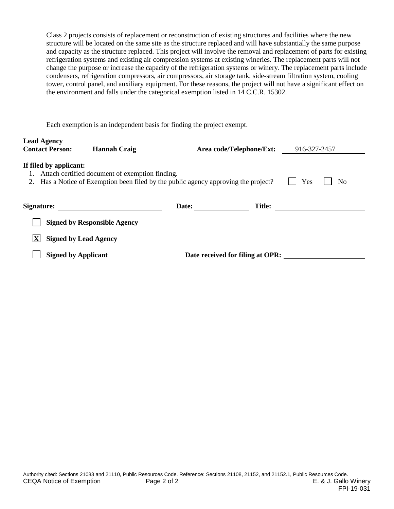Class 2 projects consists of replacement or reconstruction of existing structures and facilities where the new structure will be located on the same site as the structure replaced and will have substantially the same purpose and capacity as the structure replaced. This project will involve the removal and replacement of parts for existing refrigeration systems and existing air compression systems at existing wineries. The replacement parts will not change the purpose or increase the capacity of the refrigeration systems or winery. The replacement parts include condensers, refrigeration compressors, air compressors, air storage tank, side-stream filtration system, cooling tower, control panel, and auxiliary equipment. For these reasons, the project will not have a significant effect on the environment and falls under the categorical exemption listed in 14 C.C.R. 15302.

Each exemption is an independent basis for finding the project exempt.

| <b>Lead Agency</b><br><b>Contact Person:</b>                                                                                                                                     | <b>Hannah Craig</b>                 | Area code/Telephone/Ext:         |               | 916-327-2457 |  |
|----------------------------------------------------------------------------------------------------------------------------------------------------------------------------------|-------------------------------------|----------------------------------|---------------|--------------|--|
| If filed by applicant:<br>Attach certified document of exemption finding.<br>Has a Notice of Exemption been filed by the public agency approving the project?<br>Yes<br>No<br>2. |                                     |                                  |               |              |  |
| Signature:                                                                                                                                                                       |                                     | Date:                            | <b>Title:</b> |              |  |
|                                                                                                                                                                                  | <b>Signed by Responsible Agency</b> |                                  |               |              |  |
| <b>Signed by Lead Agency</b>                                                                                                                                                     |                                     |                                  |               |              |  |
| <b>Signed by Applicant</b>                                                                                                                                                       |                                     | Date received for filing at OPR: |               |              |  |